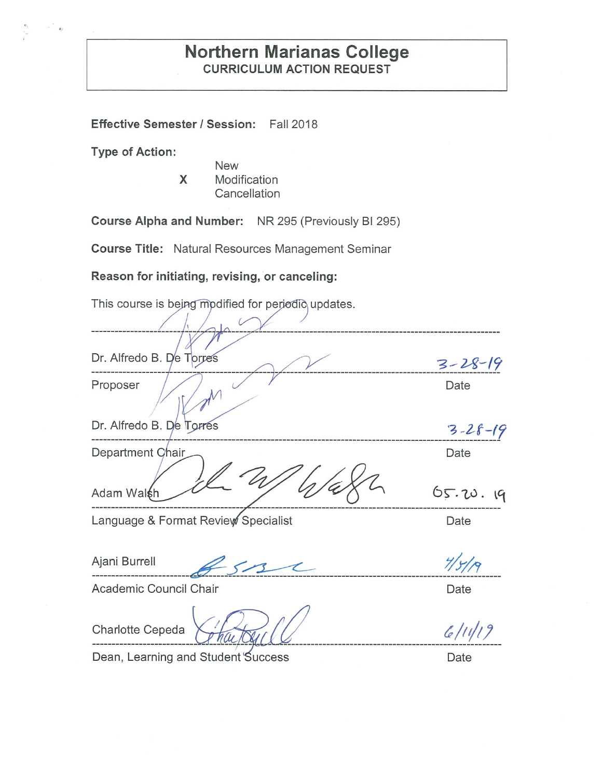# **Northern Marianas College CURRICULUM ACTION REQUEST**

**Effective Semester/ Session:** Fall 2018

**Type of Action:** 

**New X** Modification **Cancellation** 

**Course Alpha and Number:** NR 295 (Previously Bl 295)

**Course Title:** Natural Resources Management Seminar

**Reason for initiating, revising, or canceling:** 

This course is being modified for periodic updates.

Dr. Alfredo B. De Torres<br>Proposer Date Dr. Alfredo B.  $\sqrt{2}$  Torres  $\sqrt{3}-28-19$ ~~:-~~~~~~-~- ---~------------------------------------------------- '3 *-2-f-(* 'l Department Date  $65.20.19$ Adam Walsh Ajani Burrell ~ -5 ~ *7/y/;c,* -------------------------~---------------------------------------------------------------------- Language & Format Review Specialist **Canadian Contract Contract Canadian** Date Academic Council Chair **Date**  $6/11/19$ 

Charlotte Cepeda

--------------------------- Dean, Learning and Student Success Dean and Date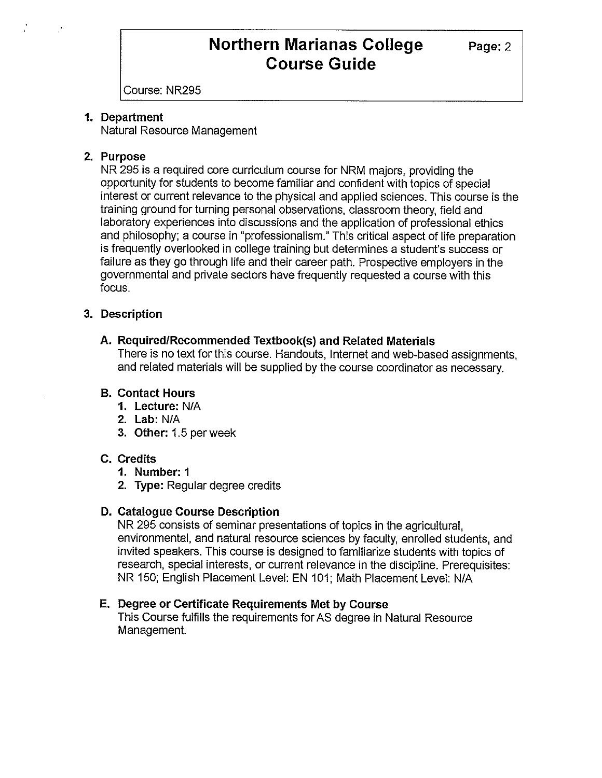Course: NR295

## **1. Department**

Natural Resource Management

## **2. Purpose**

 $\mathcal{I}$ 

NR 295 is a required core curriculum course for NRM majors, providing the opportunity for students to become familiar and confident with topics of special interest or current relevance to the physical and applied sciences. This course is the training ground for turning personal observations, classroom theory, field and laboratory experiences into discussions and the application of professional ethics and philosophy; a course in "professionalism." This critical aspect of life preparation is frequently overlooked in college training but determines a student's success or failure as they go through life and their career path. Prospective employers in the governmental and private sectors have frequently requested a course with this focus.

## **3. Description**

# **A. Required/Recommended Textbook(s) and Related Materials**

There is no text for this course. Handouts, Internet and web-based assignments, and related materials will be supplied by the course coordinator as necessary.

## **B. Contact Hours**

- **1. Lecture:** N/A
- **2. Lab:** N/A
- **3. Other:** 1.5 per week

## **C. Credits**

- **1. Number:** 1
- **2. Type:** Regular degree credits

## **D. Catalogue Course Description**

NR 295 consists of seminar presentations of topics in the agricultural, environmental, and natural resource sciences by faculty, enrolled students, and invited speakers. This course is designed to familiarize students with topics of research, special interests, or current relevance in the discipline. Prerequisites: NR 150; English Placement Level: EN 101; Math Placement Level: N/A

## **E. Degree or Certificate Requirements Met by Course**

This Course fulfills the requirements for AS degree in Natural Resource Management.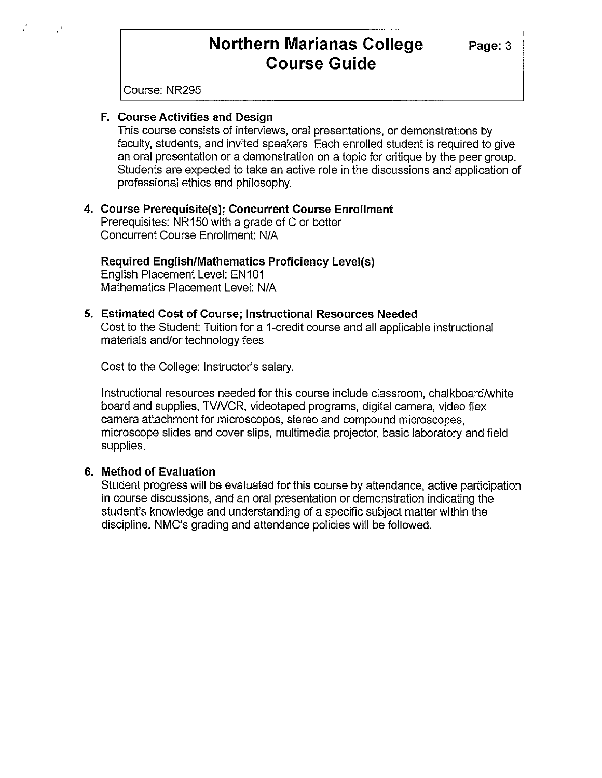Course: NR295

## **F. Course Activities and Design**

This course consists of interviews, oral presentations, or demonstrations by faculty, students, and invited speakers. Each enrolled student is required to give an oral presentation or a demonstration on a topic for critique by the peer group. Students are expected to take an active role in the discussions and application of professional ethics and philosophy.

#### **4. Course Prerequisite(s); Concurrent Course Enrollment**  Prerequisites: NR 150 with a grade of C or better Concurrent Course Enrollment: N/A

**Required English/Mathematics Proficiency Level(s)**  English Placement Level: EN101 Mathematics Placement Level: NIA

# **5. Estimated Cost of Course; Instructional Resources Needed**

Cost to the Student: Tuition for a 1-credit course and all applicable instructional materials and/or technology fees

Cost to the College: Instructor's salary.

Instructional resources needed for this course include classroom, chalkboard/white board and supplies, TV/VCR, videotaped programs, digital camera, video flex camera attachment for microscopes, stereo and compound microscopes, microscope slides and cover slips, multimedia projector, basic laboratory and field supplies.

### **6. Method of Evaluation**

Student progress will be evaluated for this course by attendance, active participation in course discussions, and an oral presentation or demonstration indicating the student's knowledge and understanding of a specific subject matter within the discipline. NMC's grading and attendance policies will be followed.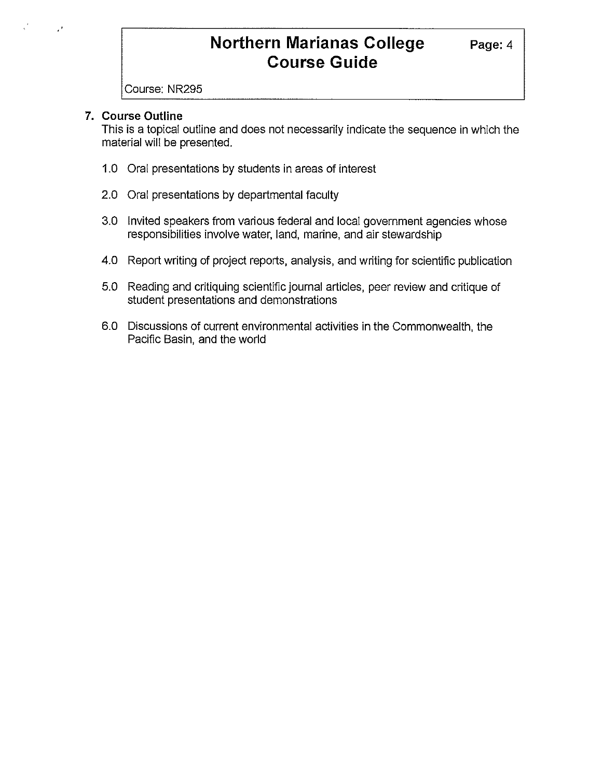Course: NR295

## **7. Course Outline**

This is a topical outline and does not necessarily indicate the sequence in which the material will be presented.

- 1.0 Oral presentations by students in areas of interest
- 2.0 Oral presentations by departmental faculty
- 3.0 Invited speakers from various federal and local government agencies whose responsibilities involve water, land, marine, and air stewardship
- 4.0 Report writing of project reports, analysis, and writing for scientific publication
- 5.0 Reading and critiquing scientific journal articles, peer review and critique of student presentations and demonstrations
- 6.0 Discussions of current environmental activities in the Commonwealth, the Pacific Basin, and the world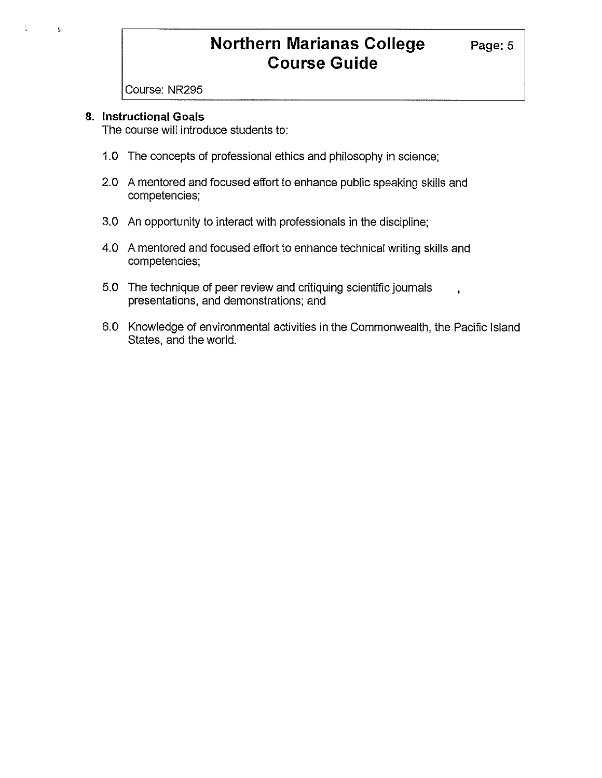Course: NR295

### **8. Instructional Goals**

 $\bar{\Sigma}$ 

The course will introduce students to:

- 1.0 The concepts of professional ethics and philosophy in science;
- 2.0 A mentored and focused effort to enhance public speaking skills and competencies;
- 3.0 An opportunity to interact with professionals in the discipline;
- 4.0 A mentored and focused effort to enhance technical writing skills and competencies;
- 5.0 The technique of peer review and critiquing scientific journals presentations, and demonstrations; and
- 6.0 Knowledge of environmental activities in the Commonwealth, the Pacific Island States, and the world.